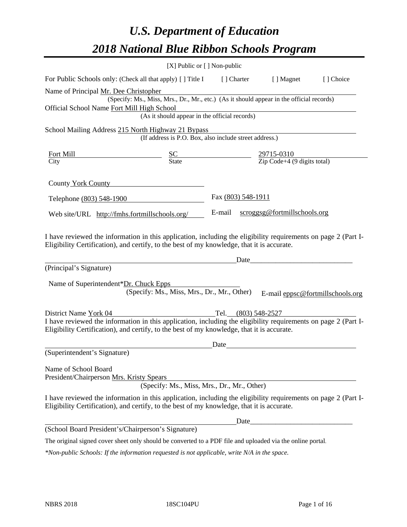# *U.S. Department of Education 2018 National Blue Ribbon Schools Program*

|                                                                                                                                                                                                              | [X] Public or [] Non-public                                                              |                    |                                                          |                                  |
|--------------------------------------------------------------------------------------------------------------------------------------------------------------------------------------------------------------|------------------------------------------------------------------------------------------|--------------------|----------------------------------------------------------|----------------------------------|
| For Public Schools only: (Check all that apply) [] Title I                                                                                                                                                   |                                                                                          | [] Charter         | [ ] Magnet                                               | [] Choice                        |
| Name of Principal Mr. Dee Christopher                                                                                                                                                                        |                                                                                          |                    |                                                          |                                  |
|                                                                                                                                                                                                              | (Specify: Ms., Miss, Mrs., Dr., Mr., etc.) (As it should appear in the official records) |                    |                                                          |                                  |
| Official School Name Fort Mill High School                                                                                                                                                                   |                                                                                          |                    |                                                          |                                  |
|                                                                                                                                                                                                              | (As it should appear in the official records)                                            |                    |                                                          |                                  |
| School Mailing Address 215 North Highway 21 Bypass                                                                                                                                                           |                                                                                          |                    |                                                          |                                  |
|                                                                                                                                                                                                              | (If address is P.O. Box, also include street address.)                                   |                    |                                                          |                                  |
| Fort Mill                                                                                                                                                                                                    | $rac{SC}{State}$                                                                         |                    |                                                          |                                  |
| City                                                                                                                                                                                                         |                                                                                          |                    | $\frac{29715-0310}{\text{Zip Code}+4 (9 digits total)}$  |                                  |
| County York County                                                                                                                                                                                           |                                                                                          |                    |                                                          |                                  |
| Telephone (803) 548-1900                                                                                                                                                                                     |                                                                                          | Fax (803) 548-1911 |                                                          |                                  |
| Web site/URL http://fmhs.fortmillschools.org/                                                                                                                                                                |                                                                                          | E-mail             | scroggsg@fortmillschools.org                             |                                  |
| (Principal's Signature)<br>Name of Superintendent*Dr. Chuck Epps                                                                                                                                             | (Specify: Ms., Miss, Mrs., Dr., Mr., Other)                                              |                    |                                                          | E-mail eppsc@fortmillschools.org |
| District Name York 04                                                                                                                                                                                        |                                                                                          | Tel.               | $(803)$ 548-2527                                         |                                  |
| I have reviewed the information in this application, including the eligibility requirements on page 2 (Part I-<br>Eligibility Certification), and certify, to the best of my knowledge, that it is accurate. |                                                                                          |                    |                                                          |                                  |
|                                                                                                                                                                                                              |                                                                                          | Date               |                                                          |                                  |
| (Superintendent's Signature)                                                                                                                                                                                 |                                                                                          |                    |                                                          |                                  |
| Name of School Board<br>President/Chairperson Mrs. Kristy Spears                                                                                                                                             | (Specify: Ms., Miss, Mrs., Dr., Mr., Other)                                              |                    |                                                          |                                  |
| I have reviewed the information in this application, including the eligibility requirements on page 2 (Part I-<br>Eligibility Certification), and certify, to the best of my knowledge, that it is accurate. |                                                                                          |                    |                                                          |                                  |
|                                                                                                                                                                                                              |                                                                                          | Date_              | <u> 1980 - Johann John Stone, mars eta biztanleria (</u> |                                  |
| (School Board President's/Chairperson's Signature)                                                                                                                                                           |                                                                                          |                    |                                                          |                                  |
| The original signed cover sheet only should be converted to a PDF file and uploaded via the online portal.                                                                                                   |                                                                                          |                    |                                                          |                                  |

*\*Non-public Schools: If the information requested is not applicable, write N/A in the space.*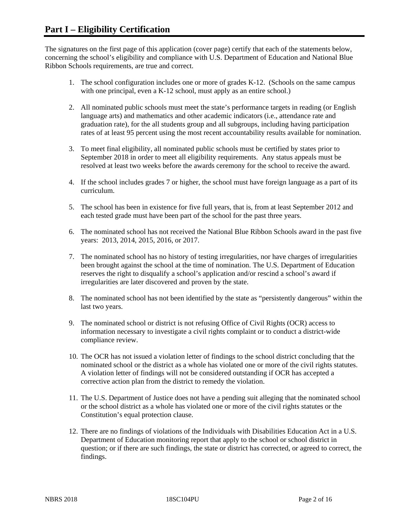The signatures on the first page of this application (cover page) certify that each of the statements below, concerning the school's eligibility and compliance with U.S. Department of Education and National Blue Ribbon Schools requirements, are true and correct.

- 1. The school configuration includes one or more of grades K-12. (Schools on the same campus with one principal, even a K-12 school, must apply as an entire school.)
- 2. All nominated public schools must meet the state's performance targets in reading (or English language arts) and mathematics and other academic indicators (i.e., attendance rate and graduation rate), for the all students group and all subgroups, including having participation rates of at least 95 percent using the most recent accountability results available for nomination.
- 3. To meet final eligibility, all nominated public schools must be certified by states prior to September 2018 in order to meet all eligibility requirements. Any status appeals must be resolved at least two weeks before the awards ceremony for the school to receive the award.
- 4. If the school includes grades 7 or higher, the school must have foreign language as a part of its curriculum.
- 5. The school has been in existence for five full years, that is, from at least September 2012 and each tested grade must have been part of the school for the past three years.
- 6. The nominated school has not received the National Blue Ribbon Schools award in the past five years: 2013, 2014, 2015, 2016, or 2017.
- 7. The nominated school has no history of testing irregularities, nor have charges of irregularities been brought against the school at the time of nomination. The U.S. Department of Education reserves the right to disqualify a school's application and/or rescind a school's award if irregularities are later discovered and proven by the state.
- 8. The nominated school has not been identified by the state as "persistently dangerous" within the last two years.
- 9. The nominated school or district is not refusing Office of Civil Rights (OCR) access to information necessary to investigate a civil rights complaint or to conduct a district-wide compliance review.
- 10. The OCR has not issued a violation letter of findings to the school district concluding that the nominated school or the district as a whole has violated one or more of the civil rights statutes. A violation letter of findings will not be considered outstanding if OCR has accepted a corrective action plan from the district to remedy the violation.
- 11. The U.S. Department of Justice does not have a pending suit alleging that the nominated school or the school district as a whole has violated one or more of the civil rights statutes or the Constitution's equal protection clause.
- 12. There are no findings of violations of the Individuals with Disabilities Education Act in a U.S. Department of Education monitoring report that apply to the school or school district in question; or if there are such findings, the state or district has corrected, or agreed to correct, the findings.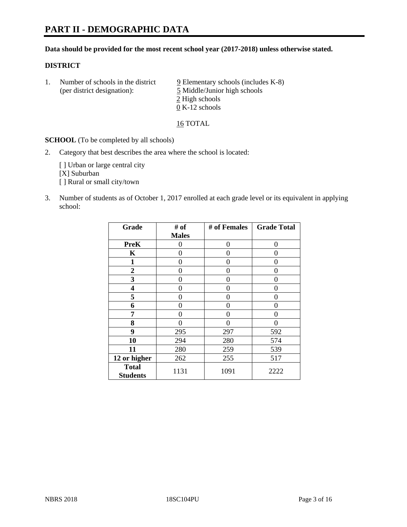#### **Data should be provided for the most recent school year (2017-2018) unless otherwise stated.**

#### **DISTRICT**

1. Number of schools in the district  $9$  Elementary schools (includes K-8) (per district designation): 5 Middle/Junior high schools 2 High schools 0 K-12 schools

16 TOTAL

**SCHOOL** (To be completed by all schools)

2. Category that best describes the area where the school is located:

[] Urban or large central city [X] Suburban [] Rural or small city/town

3. Number of students as of October 1, 2017 enrolled at each grade level or its equivalent in applying school:

| Grade                           | # of         | # of Females | <b>Grade Total</b> |
|---------------------------------|--------------|--------------|--------------------|
|                                 | <b>Males</b> |              |                    |
| <b>PreK</b>                     | 0            | $\theta$     | 0                  |
| K                               | 0            | 0            | 0                  |
| 1                               | 0            | 0            | $\mathbf{\Omega}$  |
| 2                               | 0            | 0            | 0                  |
| 3                               | 0            | 0            | $\theta$           |
| 4                               | 0            | 0            | 0                  |
| 5                               | 0            | 0            | 0                  |
| 6                               | 0            | 0            | 0                  |
| 7                               | 0            | 0            | 0                  |
| 8                               | 0            | $\theta$     | 0                  |
| 9                               | 295          | 297          | 592                |
| 10                              | 294          | 280          | 574                |
| 11                              | 280          | 259          | 539                |
| 12 or higher                    | 262          | 255          | 517                |
| <b>Total</b><br><b>Students</b> | 1131         | 1091         | 2222               |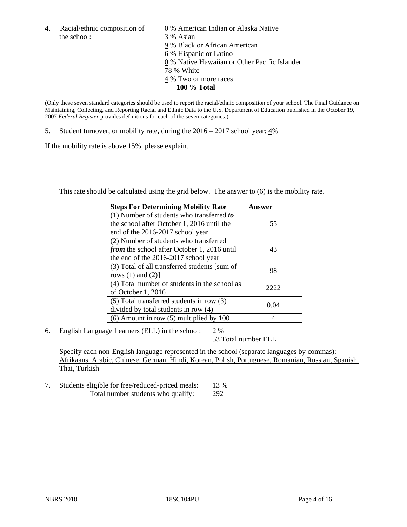the school: 3 % Asian

4. Racial/ethnic composition of  $\qquad 0\%$  American Indian or Alaska Native 9 % Black or African American 6 % Hispanic or Latino 0 % Native Hawaiian or Other Pacific Islander 78 % White 4 % Two or more races **100 % Total**

(Only these seven standard categories should be used to report the racial/ethnic composition of your school. The Final Guidance on Maintaining, Collecting, and Reporting Racial and Ethnic Data to the U.S. Department of Education published in the October 19, 2007 *Federal Register* provides definitions for each of the seven categories.)

5. Student turnover, or mobility rate, during the 2016 – 2017 school year: 4%

If the mobility rate is above 15%, please explain.

This rate should be calculated using the grid below. The answer to (6) is the mobility rate.

| <b>Steps For Determining Mobility Rate</b>         | Answer |
|----------------------------------------------------|--------|
| (1) Number of students who transferred to          |        |
| the school after October 1, 2016 until the         | 55     |
| end of the 2016-2017 school year                   |        |
| (2) Number of students who transferred             |        |
| <i>from</i> the school after October 1, 2016 until | 43     |
| the end of the 2016-2017 school year               |        |
| (3) Total of all transferred students [sum of      | 98     |
| rows $(1)$ and $(2)$ ]                             |        |
| (4) Total number of students in the school as      | 2222   |
| of October 1, 2016                                 |        |
| (5) Total transferred students in row (3)          |        |
| divided by total students in row (4)               | 0.04   |
| $(6)$ Amount in row $(5)$ multiplied by 100        |        |

6. English Language Learners (ELL) in the school:  $2\%$ 

53 Total number ELL

Specify each non-English language represented in the school (separate languages by commas): Afrikaans, Arabic, Chinese, German, Hindi, Korean, Polish, Portuguese, Romanian, Russian, Spanish, Thai, Turkish

7. Students eligible for free/reduced-priced meals: 13 % Total number students who qualify: 292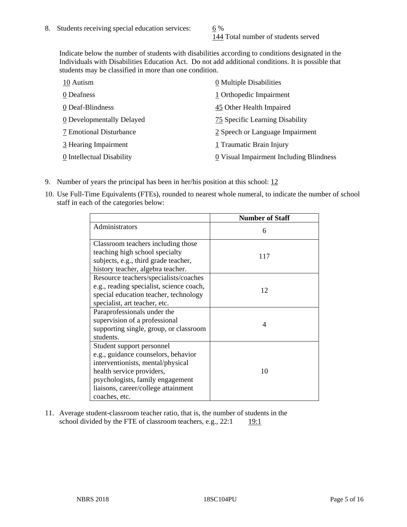144 Total number of students served

Indicate below the number of students with disabilities according to conditions designated in the Individuals with Disabilities Education Act. Do not add additional conditions. It is possible that students may be classified in more than one condition.

| 10 Autism                 | 0 Multiple Disabilities                 |
|---------------------------|-----------------------------------------|
| 0 Deafness                | 1 Orthopedic Impairment                 |
| 0 Deaf-Blindness          | 45 Other Health Impaired                |
| 0 Developmentally Delayed | 75 Specific Learning Disability         |
| 7 Emotional Disturbance   | 2 Speech or Language Impairment         |
| 3 Hearing Impairment      | 1 Traumatic Brain Injury                |
| 0 Intellectual Disability | 0 Visual Impairment Including Blindness |

- 9. Number of years the principal has been in her/his position at this school:  $12$
- 10. Use Full-Time Equivalents (FTEs), rounded to nearest whole numeral, to indicate the number of school staff in each of the categories below:

|                                                                                                                                                                                                                                | <b>Number of Staff</b> |
|--------------------------------------------------------------------------------------------------------------------------------------------------------------------------------------------------------------------------------|------------------------|
| Administrators                                                                                                                                                                                                                 | 6                      |
| Classroom teachers including those<br>teaching high school specialty<br>subjects, e.g., third grade teacher,<br>history teacher, algebra teacher.                                                                              | 117                    |
| Resource teachers/specialists/coaches<br>e.g., reading specialist, science coach,<br>special education teacher, technology<br>specialist, art teacher, etc.                                                                    | 12                     |
| Paraprofessionals under the<br>supervision of a professional<br>supporting single, group, or classroom<br>students.                                                                                                            | 4                      |
| Student support personnel<br>e.g., guidance counselors, behavior<br>interventionists, mental/physical<br>health service providers,<br>psychologists, family engagement<br>liaisons, career/college attainment<br>coaches, etc. | 10                     |

11. Average student-classroom teacher ratio, that is, the number of students in the school divided by the FTE of classroom teachers, e.g.,  $22:1$  19:1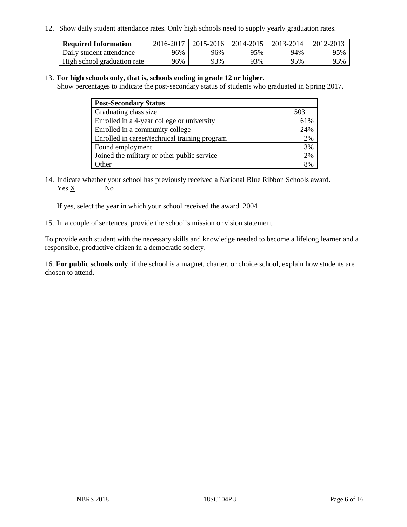12. Show daily student attendance rates. Only high schools need to supply yearly graduation rates.

| <b>Required Information</b> | 2016-2017 | 2015-2016 | 2014-2015 | 2013-2014 | 2012-2013 |
|-----------------------------|-----------|-----------|-----------|-----------|-----------|
| Daily student attendance    | 96%       | 96%       | 95%       | 94%       | 95%       |
| High school graduation rate | 96%       | 93%       | 93%       | 95%       | 93%       |

#### 13. **For high schools only, that is, schools ending in grade 12 or higher.**

Show percentages to indicate the post-secondary status of students who graduated in Spring 2017.

| <b>Post-Secondary Status</b>                  |     |
|-----------------------------------------------|-----|
| Graduating class size                         | 503 |
| Enrolled in a 4-year college or university    | 61% |
| Enrolled in a community college               | 24% |
| Enrolled in career/technical training program | 2%  |
| Found employment                              | 3%  |
| Joined the military or other public service   | 2%  |
| Other                                         | 8%  |

14. Indicate whether your school has previously received a National Blue Ribbon Schools award. Yes X No

If yes, select the year in which your school received the award. 2004

15. In a couple of sentences, provide the school's mission or vision statement.

To provide each student with the necessary skills and knowledge needed to become a lifelong learner and a responsible, productive citizen in a democratic society.

16. **For public schools only**, if the school is a magnet, charter, or choice school, explain how students are chosen to attend.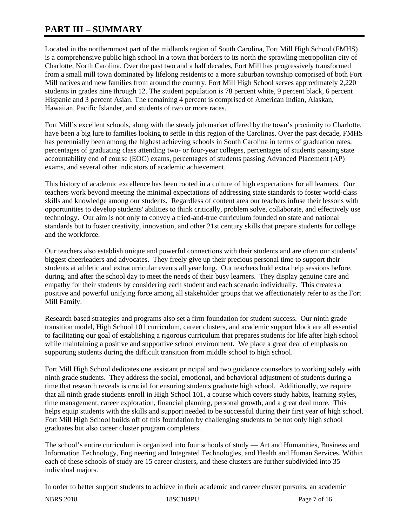# **PART III – SUMMARY**

Located in the northernmost part of the midlands region of South Carolina, Fort Mill High School (FMHS) is a comprehensive public high school in a town that borders to its north the sprawling metropolitan city of Charlotte, North Carolina. Over the past two and a half decades, Fort Mill has progressively transformed from a small mill town dominated by lifelong residents to a more suburban township comprised of both Fort Mill natives and new families from around the country. Fort Mill High School serves approximately 2,220 students in grades nine through 12. The student population is 78 percent white, 9 percent black, 6 percent Hispanic and 3 percent Asian. The remaining 4 percent is comprised of American Indian, Alaskan, Hawaiian, Pacific Islander, and students of two or more races.

Fort Mill's excellent schools, along with the steady job market offered by the town's proximity to Charlotte, have been a big lure to families looking to settle in this region of the Carolinas. Over the past decade, FMHS has perennially been among the highest achieving schools in South Carolina in terms of graduation rates, percentages of graduating class attending two- or four-year colleges, percentages of students passing state accountability end of course (EOC) exams, percentages of students passing Advanced Placement (AP) exams, and several other indicators of academic achievement.

This history of academic excellence has been rooted in a culture of high expectations for all learners. Our teachers work beyond meeting the minimal expectations of addressing state standards to foster world-class skills and knowledge among our students. Regardless of content area our teachers infuse their lessons with opportunities to develop students' abilities to think critically, problem solve, collaborate, and effectively use technology. Our aim is not only to convey a tried-and-true curriculum founded on state and national standards but to foster creativity, innovation, and other 21st century skills that prepare students for college and the workforce.

Our teachers also establish unique and powerful connections with their students and are often our students' biggest cheerleaders and advocates. They freely give up their precious personal time to support their students at athletic and extracurricular events all year long. Our teachers hold extra help sessions before, during, and after the school day to meet the needs of their busy learners. They display genuine care and empathy for their students by considering each student and each scenario individually. This creates a positive and powerful unifying force among all stakeholder groups that we affectionately refer to as the Fort Mill Family.

Research based strategies and programs also set a firm foundation for student success. Our ninth grade transition model, High School 101 curriculum, career clusters, and academic support block are all essential to facilitating our goal of establishing a rigorous curriculum that prepares students for life after high school while maintaining a positive and supportive school environment. We place a great deal of emphasis on supporting students during the difficult transition from middle school to high school.

Fort Mill High School dedicates one assistant principal and two guidance counselors to working solely with ninth grade students. They address the social, emotional, and behavioral adjustment of students during a time that research reveals is crucial for ensuring students graduate high school. Additionally, we require that all ninth grade students enroll in High School 101, a course which covers study habits, learning styles, time management, career exploration, financial planning, personal growth, and a great deal more. This helps equip students with the skills and support needed to be successful during their first year of high school. Fort Mill High School builds off of this foundation by challenging students to be not only high school graduates but also career cluster program completers.

The school's entire curriculum is organized into four schools of study — Art and Humanities, Business and Information Technology, Engineering and Integrated Technologies, and Health and Human Services. Within each of these schools of study are 15 career clusters, and these clusters are further subdivided into 35 individual majors.

In order to better support students to achieve in their academic and career cluster pursuits, an academic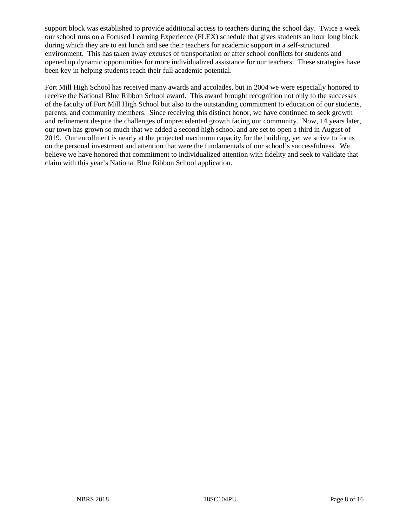support block was established to provide additional access to teachers during the school day. Twice a week our school runs on a Focused Learning Experience (FLEX) schedule that gives students an hour long block during which they are to eat lunch and see their teachers for academic support in a self-structured environment. This has taken away excuses of transportation or after school conflicts for students and opened up dynamic opportunities for more individualized assistance for our teachers. These strategies have been key in helping students reach their full academic potential.

Fort Mill High School has received many awards and accolades, but in 2004 we were especially honored to receive the National Blue Ribbon School award. This award brought recognition not only to the successes of the faculty of Fort Mill High School but also to the outstanding commitment to education of our students, parents, and community members. Since receiving this distinct honor, we have continued to seek growth and refinement despite the challenges of unprecedented growth facing our community. Now, 14 years later, our town has grown so much that we added a second high school and are set to open a third in August of 2019. Our enrollment is nearly at the projected maximum capacity for the building, yet we strive to focus on the personal investment and attention that were the fundamentals of our school's successfulness. We believe we have honored that commitment to individualized attention with fidelity and seek to validate that claim with this year's National Blue Ribbon School application.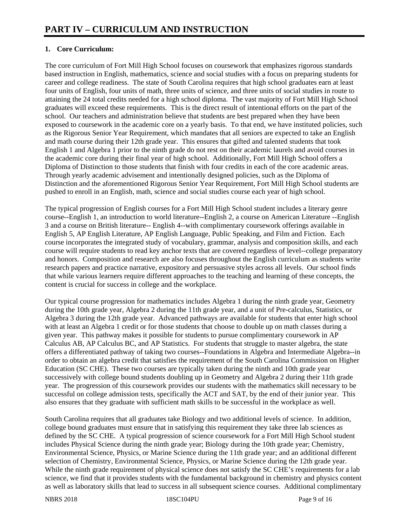# **1. Core Curriculum:**

The core curriculum of Fort Mill High School focuses on coursework that emphasizes rigorous standards based instruction in English, mathematics, science and social studies with a focus on preparing students for career and college readiness. The state of South Carolina requires that high school graduates earn at least four units of English, four units of math, three units of science, and three units of social studies in route to attaining the 24 total credits needed for a high school diploma. The vast majority of Fort Mill High School graduates will exceed these requirements. This is the direct result of intentional efforts on the part of the school. Our teachers and administration believe that students are best prepared when they have been exposed to coursework in the academic core on a yearly basis. To that end, we have instituted policies, such as the Rigorous Senior Year Requirement, which mandates that all seniors are expected to take an English and math course during their 12th grade year. This ensures that gifted and talented students that took English 1 and Algebra 1 prior to the ninth grade do not rest on their academic laurels and avoid courses in the academic core during their final year of high school. Additionally, Fort Mill High School offers a Diploma of Distinction to those students that finish with four credits in each of the core academic areas. Through yearly academic advisement and intentionally designed policies, such as the Diploma of Distinction and the aforementioned Rigorous Senior Year Requirement, Fort Mill High School students are pushed to enroll in an English, math, science and social studies course each year of high school.

The typical progression of English courses for a Fort Mill High School student includes a literary genre course--English 1, an introduction to world literature--English 2, a course on American Literature --English 3 and a course on British literature-- English 4--with complimentary coursework offerings available in English 5, AP English Literature, AP English Language, Public Speaking, and Film and Fiction. Each course incorporates the integrated study of vocabulary, grammar, analysis and composition skills, and each course will require students to read key anchor texts that are covered regardless of level--college preparatory and honors. Composition and research are also focuses throughout the English curriculum as students write research papers and practice narrative, expository and persuasive styles across all levels. Our school finds that while various learners require different approaches to the teaching and learning of these concepts, the content is crucial for success in college and the workplace.

Our typical course progression for mathematics includes Algebra 1 during the ninth grade year, Geometry during the 10th grade year, Algebra 2 during the 11th grade year, and a unit of Pre-calculus, Statistics, or Algebra 3 during the 12th grade year. Advanced pathways are available for students that enter high school with at least an Algebra 1 credit or for those students that choose to double up on math classes during a given year. This pathway makes it possible for students to pursue complimentary coursework in AP Calculus AB, AP Calculus BC, and AP Statistics. For students that struggle to master algebra, the state offers a differentiated pathway of taking two courses--Foundations in Algebra and Intermediate Algebra--in order to obtain an algebra credit that satisfies the requirement of the South Carolina Commission on Higher Education (SC CHE). These two courses are typically taken during the ninth and 10th grade year successively with college bound students doubling up in Geometry and Algebra 2 during their 11th grade year. The progression of this coursework provides our students with the mathematics skill necessary to be successful on college admission tests, specifically the ACT and SAT, by the end of their junior year. This also ensures that they graduate with sufficient math skills to be successful in the workplace as well.

South Carolina requires that all graduates take Biology and two additional levels of science. In addition, college bound graduates must ensure that in satisfying this requirement they take three lab sciences as defined by the SC CHE. A typical progression of science coursework for a Fort Mill High School student includes Physical Science during the ninth grade year; Biology during the 10th grade year; Chemistry, Environmental Science, Physics, or Marine Science during the 11th grade year; and an additional different selection of Chemistry, Environmental Science, Physics, or Marine Science during the 12th grade year. While the ninth grade requirement of physical science does not satisfy the SC CHE's requirements for a lab science, we find that it provides students with the fundamental background in chemistry and physics content as well as laboratory skills that lead to success in all subsequent science courses. Additional complimentary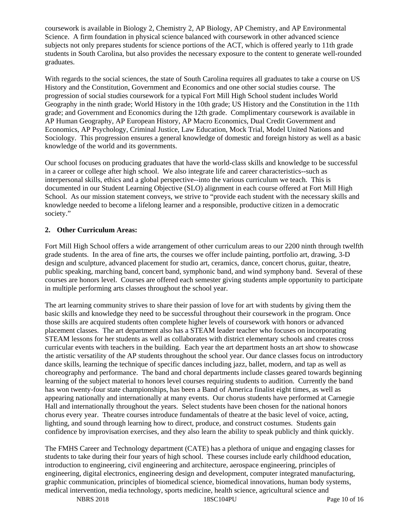coursework is available in Biology 2, Chemistry 2, AP Biology, AP Chemistry, and AP Environmental Science. A firm foundation in physical science balanced with coursework in other advanced science subjects not only prepares students for science portions of the ACT, which is offered yearly to 11th grade students in South Carolina, but also provides the necessary exposure to the content to generate well-rounded graduates.

With regards to the social sciences, the state of South Carolina requires all graduates to take a course on US History and the Constitution, Government and Economics and one other social studies course. The progression of social studies coursework for a typical Fort Mill High School student includes World Geography in the ninth grade; World History in the 10th grade; US History and the Constitution in the 11th grade; and Government and Economics during the 12th grade. Complimentary coursework is available in AP Human Geography, AP European History, AP Macro Economics, Dual Credit Government and Economics, AP Psychology, Criminal Justice, Law Education, Mock Trial, Model United Nations and Sociology. This progression ensures a general knowledge of domestic and foreign history as well as a basic knowledge of the world and its governments.

Our school focuses on producing graduates that have the world-class skills and knowledge to be successful in a career or college after high school. We also integrate life and career characteristics--such as interpersonal skills, ethics and a global perspective--into the various curriculum we teach. This is documented in our Student Learning Objective (SLO) alignment in each course offered at Fort Mill High School. As our mission statement conveys, we strive to "provide each student with the necessary skills and knowledge needed to become a lifelong learner and a responsible, productive citizen in a democratic society."

# **2. Other Curriculum Areas:**

Fort Mill High School offers a wide arrangement of other curriculum areas to our 2200 ninth through twelfth grade students. In the area of fine arts, the courses we offer include painting, portfolio art, drawing, 3-D design and sculpture, advanced placement for studio art, ceramics, dance, concert chorus, guitar, theatre, public speaking, marching band, concert band, symphonic band, and wind symphony band. Several of these courses are honors level. Courses are offered each semester giving students ample opportunity to participate in multiple performing arts classes throughout the school year.

The art learning community strives to share their passion of love for art with students by giving them the basic skills and knowledge they need to be successful throughout their coursework in the program. Once those skills are acquired students often complete higher levels of coursework with honors or advanced placement classes. The art department also has a STEAM leader teacher who focuses on incorporating STEAM lessons for her students as well as collaborates with district elementary schools and creates cross curricular events with teachers in the building. Each year the art department hosts an art show to showcase the artistic versatility of the AP students throughout the school year. Our dance classes focus on introductory dance skills, learning the technique of specific dances including jazz, ballet, modern, and tap as well as choreography and performance. The band and choral departments include classes geared towards beginning learning of the subject material to honors level courses requiring students to audition. Currently the band has won twenty-four state championships, has been a Band of America finalist eight times, as well as appearing nationally and internationally at many events. Our chorus students have performed at Carnegie Hall and internationally throughout the years. Select students have been chosen for the national honors chorus every year. Theatre courses introduce fundamentals of theatre at the basic level of voice, acting, lighting, and sound through learning how to direct, produce, and construct costumes. Students gain confidence by improvisation exercises, and they also learn the ability to speak publicly and think quickly.

The FMHS Career and Technology department (CATE) has a plethora of unique and engaging classes for students to take during their four years of high school. These courses include early childhood education, introduction to engineering, civil engineering and architecture, aerospace engineering, principles of engineering, digital electronics, engineering design and development, computer integrated manufacturing, graphic communication, principles of biomedical science, biomedical innovations, human body systems, medical intervention, media technology, sports medicine, health science, agricultural science and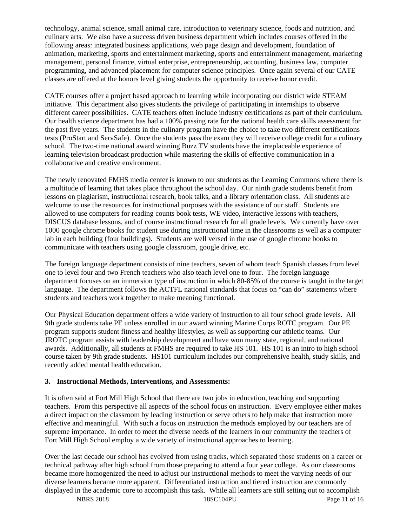technology, animal science, small animal care, introduction to veterinary science, foods and nutrition, and culinary arts. We also have a success driven business department which includes courses offered in the following areas: integrated business applications, web page design and development, foundation of animation, marketing, sports and entertainment marketing, sports and entertainment management, marketing management, personal finance, virtual enterprise, entrepreneurship, accounting, business law, computer programming, and advanced placement for computer science principles. Once again several of our CATE classes are offered at the honors level giving students the opportunity to receive honor credit.

CATE courses offer a project based approach to learning while incorporating our district wide STEAM initiative. This department also gives students the privilege of participating in internships to observe different career possibilities. CATE teachers often include industry certifications as part of their curriculum. Our health science department has had a 100% passing rate for the national health care skills assessment for the past five years. The students in the culinary program have the choice to take two different certifications tests (ProStart and ServSafe). Once the students pass the exam they will receive college credit for a culinary school. The two-time national award winning Buzz TV students have the irreplaceable experience of learning television broadcast production while mastering the skills of effective communication in a collaborative and creative environment.

The newly renovated FMHS media center is known to our students as the Learning Commons where there is a multitude of learning that takes place throughout the school day. Our ninth grade students benefit from lessons on plagiarism, instructional research, book talks, and a library orientation class. All students are welcome to use the resources for instructional purposes with the assistance of our staff. Students are allowed to use computers for reading counts book tests, WE video, interactive lessons with teachers, DISCUS database lessons, and of course instructional research for all grade levels. We currently have over 1000 google chrome books for student use during instructional time in the classrooms as well as a computer lab in each building (four buildings). Students are well versed in the use of google chrome books to communicate with teachers using google classroom, google drive, etc.

The foreign language department consists of nine teachers, seven of whom teach Spanish classes from level one to level four and two French teachers who also teach level one to four. The foreign language department focuses on an immersion type of instruction in which 80-85% of the course is taught in the target language. The department follows the ACTFL national standards that focus on "can do" statements where students and teachers work together to make meaning functional.

Our Physical Education department offers a wide variety of instruction to all four school grade levels. All 9th grade students take PE unless enrolled in our award winning Marine Corps ROTC program. Our PE program supports student fitness and healthy lifestyles, as well as supporting our athletic teams. Our JROTC program assists with leadership development and have won many state, regional, and national awards. Additionally, all students at FMHS are required to take HS 101. HS 101 is an intro to high school course taken by 9th grade students. HS101 curriculum includes our comprehensive health, study skills, and recently added mental health education.

#### **3. Instructional Methods, Interventions, and Assessments:**

It is often said at Fort Mill High School that there are two jobs in education, teaching and supporting teachers. From this perspective all aspects of the school focus on instruction. Every employee either makes a direct impact on the classroom by leading instruction or serve others to help make that instruction more effective and meaningful. With such a focus on instruction the methods employed by our teachers are of supreme importance. In order to meet the diverse needs of the learners in our community the teachers of Fort Mill High School employ a wide variety of instructional approaches to learning.

Over the last decade our school has evolved from using tracks, which separated those students on a career or technical pathway after high school from those preparing to attend a four year college. As our classrooms became more homogenized the need to adjust our instructional methods to meet the varying needs of our diverse learners became more apparent. Differentiated instruction and tiered instruction are commonly displayed in the academic core to accomplish this task. While all learners are still setting out to accomplish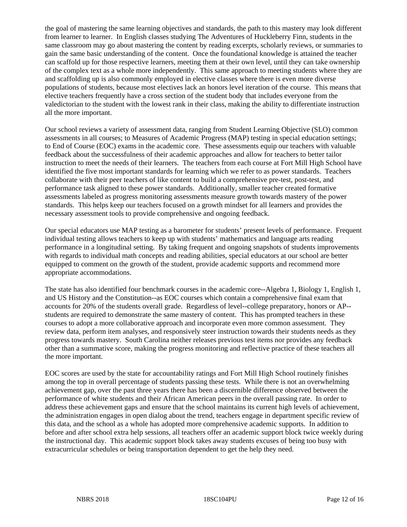the goal of mastering the same learning objectives and standards, the path to this mastery may look different from learner to learner. In English classes studying The Adventures of Huckleberry Finn, students in the same classroom may go about mastering the content by reading excerpts, scholarly reviews, or summaries to gain the same basic understanding of the content. Once the foundational knowledge is attained the teacher can scaffold up for those respective learners, meeting them at their own level, until they can take ownership of the complex text as a whole more independently. This same approach to meeting students where they are and scaffolding up is also commonly employed in elective classes where there is even more diverse populations of students, because most electives lack an honors level iteration of the course. This means that elective teachers frequently have a cross section of the student body that includes everyone from the valedictorian to the student with the lowest rank in their class, making the ability to differentiate instruction all the more important.

Our school reviews a variety of assessment data, ranging from Student Learning Objective (SLO) common assessments in all courses; to Measures of Academic Progress (MAP) testing in special education settings; to End of Course (EOC) exams in the academic core. These assessments equip our teachers with valuable feedback about the successfulness of their academic approaches and allow for teachers to better tailor instruction to meet the needs of their learners. The teachers from each course at Fort Mill High School have identified the five most important standards for learning which we refer to as power standards. Teachers collaborate with their peer teachers of like content to build a comprehensive pre-test, post-test, and performance task aligned to these power standards. Additionally, smaller teacher created formative assessments labeled as progress monitoring assessments measure growth towards mastery of the power standards. This helps keep our teachers focused on a growth mindset for all learners and provides the necessary assessment tools to provide comprehensive and ongoing feedback.

Our special educators use MAP testing as a barometer for students' present levels of performance. Frequent individual testing allows teachers to keep up with students' mathematics and language arts reading performance in a longitudinal setting. By taking frequent and ongoing snapshots of students improvements with regards to individual math concepts and reading abilities, special educators at our school are better equipped to comment on the growth of the student, provide academic supports and recommend more appropriate accommodations.

The state has also identified four benchmark courses in the academic core--Algebra 1, Biology 1, English 1, and US History and the Constitution--as EOC courses which contain a comprehensive final exam that accounts for 20% of the students overall grade. Regardless of level--college preparatory, honors or AP- students are required to demonstrate the same mastery of content. This has prompted teachers in these courses to adopt a more collaborative approach and incorporate even more common assessment. They review data, perform item analyses, and responsively steer instruction towards their students needs as they progress towards mastery. South Carolina neither releases previous test items nor provides any feedback other than a summative score, making the progress monitoring and reflective practice of these teachers all the more important.

EOC scores are used by the state for accountability ratings and Fort Mill High School routinely finishes among the top in overall percentage of students passing these tests. While there is not an overwhelming achievement gap, over the past three years there has been a discernible difference observed between the performance of white students and their African American peers in the overall passing rate. In order to address these achievement gaps and ensure that the school maintains its current high levels of achievement, the administration engages in open dialog about the trend, teachers engage in department specific review of this data, and the school as a whole has adopted more comprehensive academic supports. In addition to before and after school extra help sessions, all teachers offer an academic support block twice weekly during the instructional day. This academic support block takes away students excuses of being too busy with extracurricular schedules or being transportation dependent to get the help they need.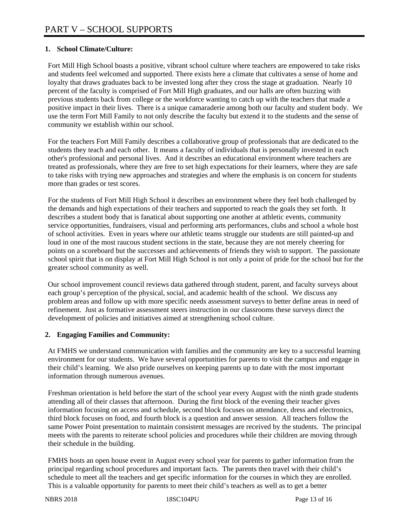# **1. School Climate/Culture:**

Fort Mill High School boasts a positive, vibrant school culture where teachers are empowered to take risks and students feel welcomed and supported. There exists here a climate that cultivates a sense of home and loyalty that draws graduates back to be invested long after they cross the stage at graduation. Nearly 10 percent of the faculty is comprised of Fort Mill High graduates, and our halls are often buzzing with previous students back from college or the workforce wanting to catch up with the teachers that made a positive impact in their lives. There is a unique camaraderie among both our faculty and student body. We use the term Fort Mill Family to not only describe the faculty but extend it to the students and the sense of community we establish within our school.

For the teachers Fort Mill Family describes a collaborative group of professionals that are dedicated to the students they teach and each other. It means a faculty of individuals that is personally invested in each other's professional and personal lives. And it describes an educational environment where teachers are treated as professionals, where they are free to set high expectations for their learners, where they are safe to take risks with trying new approaches and strategies and where the emphasis is on concern for students more than grades or test scores.

For the students of Fort Mill High School it describes an environment where they feel both challenged by the demands and high expectations of their teachers and supported to reach the goals they set forth. It describes a student body that is fanatical about supporting one another at athletic events, community service opportunities, fundraisers, visual and performing arts performances, clubs and school a whole host of school activities. Even in years where our athletic teams struggle our students are still painted-up and loud in one of the most raucous student sections in the state, because they are not merely cheering for points on a scoreboard but the successes and achievements of friends they wish to support. The passionate school spirit that is on display at Fort Mill High School is not only a point of pride for the school but for the greater school community as well.

Our school improvement council reviews data gathered through student, parent, and faculty surveys about each group's perception of the physical, social, and academic health of the school. We discuss any problem areas and follow up with more specific needs assessment surveys to better define areas in need of refinement. Just as formative assessment steers instruction in our classrooms these surveys direct the development of policies and initiatives aimed at strengthening school culture.

# **2. Engaging Families and Community:**

At FMHS we understand communication with families and the community are key to a successful learning environment for our students. We have several opportunities for parents to visit the campus and engage in their child's learning. We also pride ourselves on keeping parents up to date with the most important information through numerous avenues.

Freshman orientation is held before the start of the school year every August with the ninth grade students attending all of their classes that afternoon. During the first block of the evening their teacher gives information focusing on access and schedule, second block focuses on attendance, dress and electronics, third block focuses on food, and fourth block is a question and answer session. All teachers follow the same Power Point presentation to maintain consistent messages are received by the students. The principal meets with the parents to reiterate school policies and procedures while their children are moving through their schedule in the building.

FMHS hosts an open house event in August every school year for parents to gather information from the principal regarding school procedures and important facts. The parents then travel with their child's schedule to meet all the teachers and get specific information for the courses in which they are enrolled. This is a valuable opportunity for parents to meet their child's teachers as well as to get a better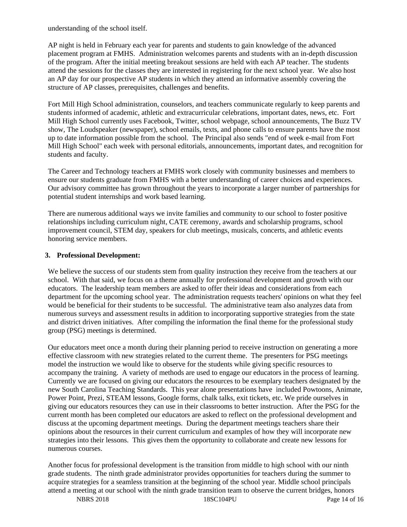understanding of the school itself.

AP night is held in February each year for parents and students to gain knowledge of the advanced placement program at FMHS. Administration welcomes parents and students with an in-depth discussion of the program. After the initial meeting breakout sessions are held with each AP teacher. The students attend the sessions for the classes they are interested in registering for the next school year. We also host an AP day for our prospective AP students in which they attend an informative assembly covering the structure of AP classes, prerequisites, challenges and benefits.

Fort Mill High School administration, counselors, and teachers communicate regularly to keep parents and students informed of academic, athletic and extracurricular celebrations, important dates, news, etc. Fort Mill High School currently uses Facebook, Twitter, school webpage, school announcements, The Buzz TV show, The Loudspeaker (newspaper), school emails, texts, and phone calls to ensure parents have the most up to date information possible from the school. The Principal also sends "end of week e-mail from Fort Mill High School" each week with personal editorials, announcements, important dates, and recognition for students and faculty.

The Career and Technology teachers at FMHS work closely with community businesses and members to ensure our students graduate from FMHS with a better understanding of career choices and experiences. Our advisory committee has grown throughout the years to incorporate a larger number of partnerships for potential student internships and work based learning.

There are numerous additional ways we invite families and community to our school to foster positive relationships including curriculum night, CATE ceremony, awards and scholarship programs, school improvement council, STEM day, speakers for club meetings, musicals, concerts, and athletic events honoring service members.

#### **3. Professional Development:**

We believe the success of our students stem from quality instruction they receive from the teachers at our school. With that said, we focus on a theme annually for professional development and growth with our educators. The leadership team members are asked to offer their ideas and considerations from each department for the upcoming school year. The administration requests teachers' opinions on what they feel would be beneficial for their students to be successful. The administrative team also analyzes data from numerous surveys and assessment results in addition to incorporating supportive strategies from the state and district driven initiatives. After compiling the information the final theme for the professional study group (PSG) meetings is determined.

Our educators meet once a month during their planning period to receive instruction on generating a more effective classroom with new strategies related to the current theme. The presenters for PSG meetings model the instruction we would like to observe for the students while giving specific resources to accompany the training. A variety of methods are used to engage our educators in the process of learning. Currently we are focused on giving our educators the resources to be exemplary teachers designated by the new South Carolina Teaching Standards. This year alone presentations have included Powtoons, Animate, Power Point, Prezi, STEAM lessons, Google forms, chalk talks, exit tickets, etc. We pride ourselves in giving our educators resources they can use in their classrooms to better instruction. After the PSG for the current month has been completed our educators are asked to reflect on the professional development and discuss at the upcoming department meetings. During the department meetings teachers share their opinions about the resources in their current curriculum and examples of how they will incorporate new strategies into their lessons. This gives them the opportunity to collaborate and create new lessons for numerous courses.

Another focus for professional development is the transition from middle to high school with our ninth grade students. The ninth grade administrator provides opportunities for teachers during the summer to acquire strategies for a seamless transition at the beginning of the school year. Middle school principals attend a meeting at our school with the ninth grade transition team to observe the current bridges, honors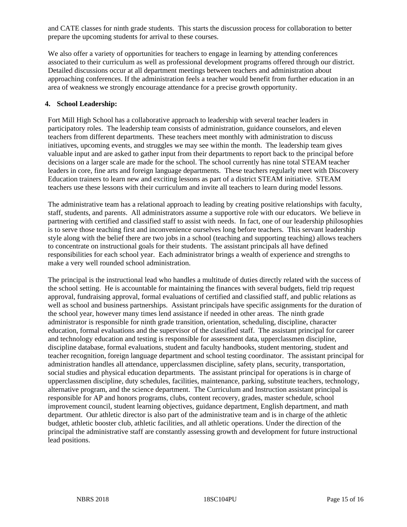and CATE classes for ninth grade students. This starts the discussion process for collaboration to better prepare the upcoming students for arrival to these courses.

We also offer a variety of opportunities for teachers to engage in learning by attending conferences associated to their curriculum as well as professional development programs offered through our district. Detailed discussions occur at all department meetings between teachers and administration about approaching conferences. If the administration feels a teacher would benefit from further education in an area of weakness we strongly encourage attendance for a precise growth opportunity.

#### **4. School Leadership:**

Fort Mill High School has a collaborative approach to leadership with several teacher leaders in participatory roles. The leadership team consists of administration, guidance counselors, and eleven teachers from different departments. These teachers meet monthly with administration to discuss initiatives, upcoming events, and struggles we may see within the month. The leadership team gives valuable input and are asked to gather input from their departments to report back to the principal before decisions on a larger scale are made for the school. The school currently has nine total STEAM teacher leaders in core, fine arts and foreign language departments. These teachers regularly meet with Discovery Education trainers to learn new and exciting lessons as part of a district STEAM initiative. STEAM teachers use these lessons with their curriculum and invite all teachers to learn during model lessons.

The administrative team has a relational approach to leading by creating positive relationships with faculty, staff, students, and parents. All administrators assume a supportive role with our educators. We believe in partnering with certified and classified staff to assist with needs. In fact, one of our leadership philosophies is to serve those teaching first and inconvenience ourselves long before teachers. This servant leadership style along with the belief there are two jobs in a school (teaching and supporting teaching) allows teachers to concentrate on instructional goals for their students. The assistant principals all have defined responsibilities for each school year. Each administrator brings a wealth of experience and strengths to make a very well rounded school administration.

The principal is the instructional lead who handles a multitude of duties directly related with the success of the school setting. He is accountable for maintaining the finances with several budgets, field trip request approval, fundraising approval, formal evaluations of certified and classified staff, and public relations as well as school and business partnerships. Assistant principals have specific assignments for the duration of the school year, however many times lend assistance if needed in other areas. The ninth grade administrator is responsible for ninth grade transition, orientation, scheduling, discipline, character education, formal evaluations and the supervisor of the classified staff. The assistant principal for career and technology education and testing is responsible for assessment data, upperclassmen discipline, discipline database, formal evaluations, student and faculty handbooks, student mentoring, student and teacher recognition, foreign language department and school testing coordinator. The assistant principal for administration handles all attendance, upperclassmen discipline, safety plans, security, transportation, social studies and physical education departments. The assistant principal for operations is in charge of upperclassmen discipline, duty schedules, facilities, maintenance, parking, substitute teachers, technology, alternative program, and the science department. The Curriculum and Instruction assistant principal is responsible for AP and honors programs, clubs, content recovery, grades, master schedule, school improvement council, student learning objectives, guidance department, English department, and math department. Our athletic director is also part of the administrative team and is in charge of the athletic budget, athletic booster club, athletic facilities, and all athletic operations. Under the direction of the principal the administrative staff are constantly assessing growth and development for future instructional lead positions.